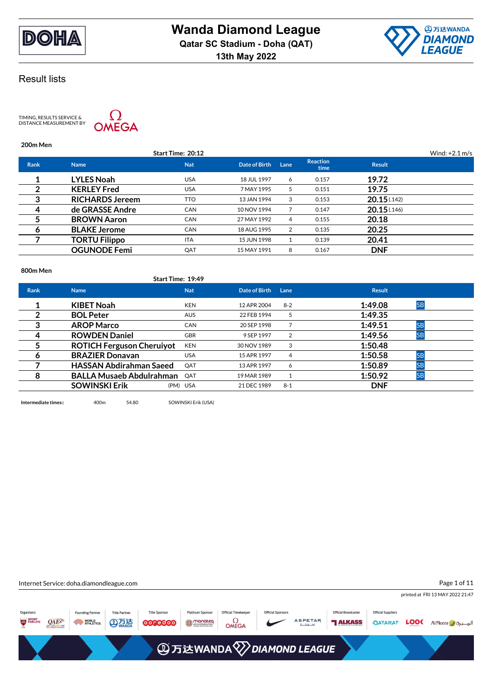



TIMING, RESULTS SERVICE &<br>DISTANCE MEASUREMENT BY



#### **200m Men**

|             |                        | Start Time: 20:12 |               |      |                         |               | Wind: $+2.1$ m/s |
|-------------|------------------------|-------------------|---------------|------|-------------------------|---------------|------------------|
| <b>Rank</b> | <b>Name</b>            | <b>Nat</b>        | Date of Birth | Lane | <b>Reaction</b><br>time | <b>Result</b> |                  |
|             | <b>LYLES Noah</b>      | <b>USA</b>        | 18 JUL 1997   | 6    | 0.157                   | 19.72         |                  |
| 2           | <b>KERLEY Fred</b>     | <b>USA</b>        | 7 MAY 1995    | 5    | 0.151                   | 19.75         |                  |
| 3           | <b>RICHARDS Jereem</b> | <b>TTO</b>        | 13 JAN 1994   | 3    | 0.153                   | 20.15(0.142)  |                  |
| 4           | de GRASSE Andre        | <b>CAN</b>        | 10 NOV 1994   |      | 0.147                   | 20.15(0.146)  |                  |
| 5           | <b>BROWN Aaron</b>     | <b>CAN</b>        | 27 MAY 1992   | 4    | 0.155                   | 20.18         |                  |
| 6           | <b>BLAKE Jerome</b>    | <b>CAN</b>        | 18 AUG 1995   | 2    | 0.135                   | 20.25         |                  |
|             | <b>TORTU Filippo</b>   | <b>ITA</b>        | 15 JUN 1998   |      | 0.139                   | 20.41         |                  |
|             | <b>OGUNODE Femi</b>    | QAT               | 15 MAY 1991   | 8    | 0.167                   | <b>DNF</b>    |                  |
|             |                        |                   |               |      |                         |               |                  |

### **800m Men**

| <b>Name</b>                      | <b>Nat</b> | Date of Birth                                                    | Lane    | <b>Result</b>        |
|----------------------------------|------------|------------------------------------------------------------------|---------|----------------------|
| <b>KIBET Noah</b>                | <b>KEN</b> | 12 APR 2004                                                      | $8 - 2$ | <b>SB</b><br>1:49.08 |
| <b>BOL Peter</b>                 | <b>AUS</b> | 22 FEB 1994                                                      | 5       | 1:49.35              |
| <b>AROP Marco</b>                | <b>CAN</b> | 20 SEP 1998                                                      |         | <b>SB</b><br>1:49.51 |
| <b>ROWDEN Daniel</b>             | <b>GBR</b> | 9 SEP 1997                                                       | 2       | 1:49.56<br><b>SB</b> |
| <b>ROTICH Ferguson Cheruiyot</b> | <b>KEN</b> | 30 NOV 1989                                                      | 3       | 1:50.48              |
| <b>BRAZIER Donavan</b>           | <b>USA</b> | 15 APR 1997                                                      | 4       | 1:50.58<br><b>SB</b> |
| <b>HASSAN Abdirahman Saeed</b>   | QAT        | 13 APR 1997                                                      | 6       | <b>SB</b><br>1:50.89 |
|                                  | OAT        | 19 MAR 1989                                                      |         | 1:50.92<br><b>SB</b> |
| <b>SOWINSKI Erik</b>             |            | 21 DEC 1989                                                      | $8 - 1$ | <b>DNF</b>           |
|                                  |            | Start Time: 19:49<br><b>BALLA Musaeb Abdulrahman</b><br>(PM) USA |         |                      |

**Intermediate times::** 400m 54.80 SOWINSKI Erik (USA)

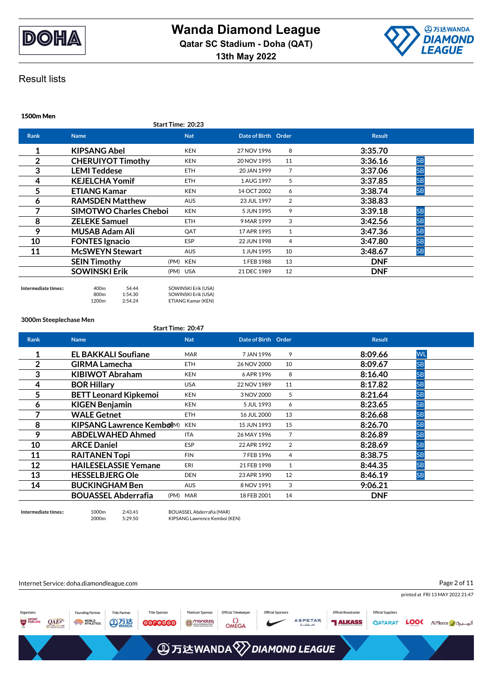



**1500m Men**

| 1300111171611 | <b>Start Time: 20:23</b>      |            |                     |    |                      |  |
|---------------|-------------------------------|------------|---------------------|----|----------------------|--|
| Rank          | <b>Name</b>                   | <b>Nat</b> | Date of Birth Order |    | <b>Result</b>        |  |
|               | <b>KIPSANG Abel</b>           | <b>KEN</b> | 27 NOV 1996         | 8  | 3:35.70              |  |
| 2             | <b>CHERUIYOT Timothy</b>      | <b>KEN</b> | 20 NOV 1995         | 11 | <b>SB</b><br>3:36.16 |  |
| 3             | <b>LEMI Teddese</b>           | <b>ETH</b> | 20 JAN 1999         | 7  | 3:37.06<br><b>SB</b> |  |
| 4             | <b>KEJELCHA Yomif</b>         | <b>ETH</b> | 1 AUG 1997          | 5  | <b>SB</b><br>3:37.85 |  |
|               | <b>ETIANG Kamar</b>           | <b>KEN</b> | 14 OCT 2002         | 6  | <b>SB</b><br>3:38.74 |  |
| Ô             | <b>RAMSDEN Matthew</b>        | <b>AUS</b> | 23 JUL 1997         | 2  | 3:38.83              |  |
|               | <b>SIMOTWO Charles Cheboi</b> | <b>KEN</b> | 5 JUN 1995          | 9  | 3:39.18<br><b>SB</b> |  |
| 8             | <b>ZELEKE Samuel</b>          | <b>ETH</b> | 9 MAR 1999          | 3  | <b>SB</b><br>3:42.56 |  |
| 9             | <b>MUSAB Adam Ali</b>         | QAT        | 17 APR 1995         | 1  | 3:47.36<br><b>SB</b> |  |
| 10            | <b>FONTES Ignacio</b>         | <b>ESP</b> | 22 JUN 1998         | 4  | <b>SB</b><br>3:47.80 |  |
| 11            | <b>McSWEYN Stewart</b>        | <b>AUS</b> | 1 JUN 1995          | 10 | <b>SB</b><br>3:48.67 |  |
|               | <b>SEIN Timothy</b>           | (PM) KEN   | 1 FEB 1988          | 13 | <b>DNF</b>           |  |
|               | <b>SOWINSKI Erik</b>          | (PM) USA   | 21 DEC 1989         | 12 | <b>DNF</b>           |  |
|               |                               |            |                     |    |                      |  |

**Intermediate times::** 400m 54.44 SOWINSKI Erik (USA) 1:54.30 SOWINSKI Erik (USA)<br>2:54.24 FTIANG Kamar (KEN) 1200m 2:54.24 ETIANG Kamar (KEN)

**3000m Steeplechase Men**

#### **Start Time: 20:47**

| <b>Rank</b>    | <b>Name</b>                        | <b>Nat</b> | Date of Birth Order |              | <b>Result</b>        |
|----------------|------------------------------------|------------|---------------------|--------------|----------------------|
| 1              | <b>EL BAKKALI Soufiane</b>         | <b>MAR</b> | 7 JAN 1996          | 9            | WL<br>8:09.66        |
| $\overline{2}$ | <b>GIRMA Lamecha</b>               | <b>ETH</b> | 26 NOV 2000         | 10           | <b>SB</b><br>8:09.67 |
| 3              | <b>KIBIWOT Abraham</b>             | <b>KEN</b> | 6 APR 1996          | 8            | <b>SB</b><br>8:16.40 |
| 4              | <b>BOR Hillary</b>                 | <b>USA</b> | 22 NOV 1989         | 11           | SB<br>8:17.82        |
| 5              | <b>BETT Leonard Kipkemoi</b>       | <b>KEN</b> | 3 NOV 2000          | 5            | SB<br>8:21.64        |
| 6              | <b>KIGEN Benjamin</b>              | <b>KEN</b> | 5 JUL 1993          | 6            | <b>SB</b><br>8:23.65 |
| 7              | <b>WALE Getnet</b>                 | <b>ETH</b> | 16 JUL 2000         | 13           | 8:26.68<br><b>SB</b> |
| 8              | <b>KIPSANG Lawrence Kemboi</b> M)  | <b>KEN</b> | 15 JUN 1993         | 15           | <b>SB</b><br>8:26.70 |
| 9              | <b>ABDELWAHED Ahmed</b>            | <b>ITA</b> | 26 MAY 1996         | 7            | <b>SB</b><br>8:26.89 |
| 10             | <b>ARCE Daniel</b>                 | ESP        | 22 APR 1992         | 2            | <b>SB</b><br>8:28.69 |
| 11             | <b>RAITANEN Topi</b>               | <b>FIN</b> | 7 FEB 1996          | 4            | 8:38.75<br><b>SB</b> |
| 12             | <b>HAILESELASSIE Yemane</b>        | ERI        | 21 FEB 1998         | $\mathbf{1}$ | 8:44.35<br><b>SB</b> |
| 13             | <b>HESSELBJERG Ole</b>             | <b>DEN</b> | 23 APR 1990         | 12           | <b>SB</b><br>8:46.19 |
| 14             | <b>BUCKINGHAM Ben</b>              | <b>AUS</b> | 8 NOV 1991          | 3            | 9:06.21              |
|                | <b>BOUASSEL Abderrafia</b><br>(PM) | <b>MAR</b> | 18 FEB 2001         | 14           | <b>DNF</b>           |

**Intermediate times::** 1000m 2:43.41 BOUASSEL Abderrafia (MAR)<br>2000m 5:29.50 KIPSANG Lawrence Kembol (K 2000m 5:29.50 KIPSANG Lawrence Kemboi (KEN)

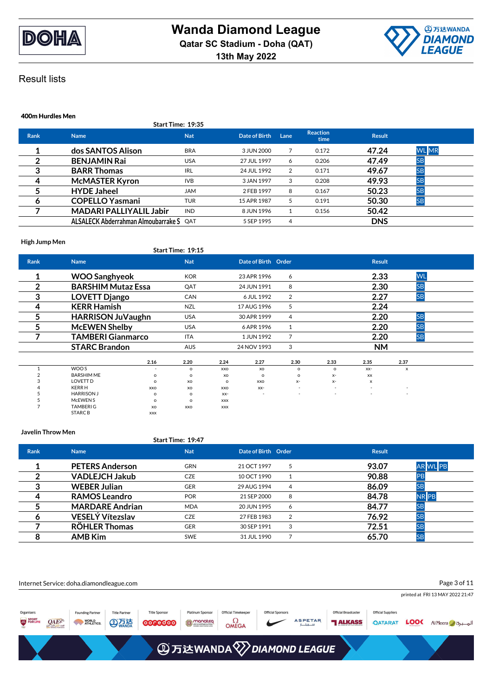



## **400m Hurdles Men Start Time: 19:35 Rank Name Nat Date of Birth Lane Reaction time Result 1 dos SANTOS Alison** BRA 3JUN 2000 7 0.172 **47.24** WL MR **2 BENJAMIN Rai** USA 27 JUL 1997 <sup>6</sup> 0.206 **47.49** SB **3 BARR Thomas IRL 24 JUL 1992 2 0.171 49.67** SB **4 McMASTER Kyron** IVB 3 JAN 1997 <sup>3</sup> 0.208 **49.93** SB **5 HYDE Jaheel** JAM 2 FEB 1997 <sup>8</sup> 0.167 **50.23** SB **6 COPELLO Yasmani** TUR 15 APR 1987 <sup>5</sup> 0.191 **50.30** SB **7 MADARI PALLIYALIL Jabir** IND 8 JUN 1996 1 0.156 50.42 **ALSALECK Abderrahman Almoubarrake S** QAT 5 SEP 1995 <sup>4</sup> **DNS**

#### **High Jump Men**

|                |                           |            | Start Time: 19:15 |            |                     |      |         |                           |          |           |  |
|----------------|---------------------------|------------|-------------------|------------|---------------------|------|---------|---------------------------|----------|-----------|--|
| <b>Rank</b>    | <b>Name</b>               |            | <b>Nat</b>        |            | Date of Birth Order |      |         | <b>Result</b>             |          |           |  |
| 1              | <b>WOO Sanghyeok</b>      |            | <b>KOR</b>        |            | 23 APR 1996         | 6    |         | 2.33                      |          | WL        |  |
| $\overline{2}$ | <b>BARSHIM Mutaz Essa</b> |            | QAT               |            | 24 JUN 1991         | 8    |         | 2.30                      |          | <b>SB</b> |  |
| 3              | <b>LOVETT Django</b>      |            | <b>CAN</b>        |            | 6 JUL 1992          | 2    |         | 2.27                      |          | <b>SB</b> |  |
| 4              | <b>KERR Hamish</b>        |            | NZL               |            | 17 AUG 1996         | 5    |         | 2.24                      |          |           |  |
| 5              | <b>HARRISON JuVaughn</b>  |            | <b>USA</b>        |            | 30 APR 1999         | 4    |         | 2.20                      |          | <b>SB</b> |  |
| 5              | <b>McEWEN Shelby</b>      |            | <b>USA</b>        |            | 6 APR 1996          | 1    |         | 2.20                      |          | <b>SB</b> |  |
|                | <b>TAMBERI Gianmarco</b>  |            | <b>ITA</b>        |            | 1 JUN 1992          | 7    |         | 2.20                      |          | <b>SB</b> |  |
|                | <b>STARC Brandon</b>      |            | <b>AUS</b>        |            | 24 NOV 1993         | 3    |         | <b>NM</b>                 |          |           |  |
|                |                           | 2.16       | 2.20              | 2.24       | 2.27                | 2.30 | 2.33    | 2.35                      | 2.37     |           |  |
|                | WOO S                     |            | $\circ$           | XXO        | XO                  | o    | $\circ$ | $XX-$                     | $\times$ |           |  |
|                | <b>BARSHIM ME</b>         | $\circ$    | o                 | XO         | $\Omega$            | o    | $X-$    | XX                        |          |           |  |
|                | LOVETT D                  | $\circ$    | XO                | $\circ$    | XXO                 | $X-$ | $X-$    | $\boldsymbol{\mathsf{x}}$ |          |           |  |
|                | <b>KERRH</b>              | XXO        | XO                | XXO        | XX-                 |      |         |                           |          |           |  |
|                | <b>HARRISON J</b>         | $\circ$    | $\circ$           | XX-        |                     |      |         |                           |          |           |  |
|                | McEWEN <sub>S</sub>       | $\circ$    | o                 | <b>XXX</b> |                     |      |         |                           |          |           |  |
|                | <b>TAMBERIG</b>           | XO         | XXO               | <b>XXX</b> |                     |      |         |                           |          |           |  |
|                | <b>STARCB</b>             | <b>XXX</b> |                   |            |                     |      |         |                           |          |           |  |

#### **Javelin Throw Men**

|             |                         | Start Time: 19:47 |                               |               |                 |
|-------------|-------------------------|-------------------|-------------------------------|---------------|-----------------|
| <b>Rank</b> | <b>Name</b>             | <b>Nat</b>        | Date of Birth Order           | <b>Result</b> |                 |
|             | <b>PETERS Anderson</b>  | <b>GRN</b>        | 21 OCT 1997<br>-5             | 93.07         | <b>AR WL PB</b> |
|             | VADLEJCH Jakub          | <b>CZE</b>        | 10 OCT 1990                   | 90.88         | PB              |
|             | <b>WEBER Julian</b>     | <b>GER</b>        | 29 AUG 1994<br>4              | 86.09         | <b>SB</b>       |
|             | <b>RAMOS Leandro</b>    | <b>POR</b>        | 21 SEP 2000<br>8              | 84.78         | NR PB           |
|             | <b>MARDARE Andrian</b>  | <b>MDA</b>        | 20 JUN 1995<br>6              | 84.77         | <b>SB</b>       |
| 6           | <b>VESELÝ Vítezslav</b> | <b>CZE</b>        | 27 FEB 1983<br>$\overline{2}$ | 76.92         | <b>SB</b>       |
|             | <b>RÖHLER Thomas</b>    | <b>GER</b>        | 30 SEP 1991<br>3              | 72.51         | SB              |
| 8           | <b>AMB Kim</b>          | <b>SWE</b>        | 31 JUL 1990                   | 65.70         | <b>SB</b>       |

|                                 | Page 3 of 11<br>Internet Service: doha.diamondleague.com |                                                |                                      |                                 |                                |                                                 |                          |                       |                                               |                                             |             |                                  |
|---------------------------------|----------------------------------------------------------|------------------------------------------------|--------------------------------------|---------------------------------|--------------------------------|-------------------------------------------------|--------------------------|-----------------------|-----------------------------------------------|---------------------------------------------|-------------|----------------------------------|
|                                 |                                                          |                                                |                                      |                                 |                                |                                                 |                          |                       |                                               |                                             |             | printed at FRI 13 MAY 2022 21:47 |
| Organisers<br>SPORT<br>FOR LIFE | $QAE^k$                                                  | <b>Founding Partner</b><br>WORLD<br>ATHLETICS. | <b>Title Partner</b><br><b>AD 万法</b> | <b>Title Sponsor</b><br>0000000 | Platinum Sponsor<br>to monoteq | <b>Official Timekeeper</b><br>Ω<br><b>OMEGA</b> | <b>Official Sponsors</b> | <b>ASPETAR</b><br>山山山 | <b>Official Broadcaster</b><br><b>TALKASS</b> | <b>Official Suppliers</b><br><b>QATARAT</b> | <b>LOOC</b> | Al Meera d                       |
|                                 |                                                          |                                                |                                      |                                 |                                | <b>④万达WANDA</b> <sup>2</sup> DIAMOND LEAGUE     |                          |                       |                                               |                                             |             |                                  |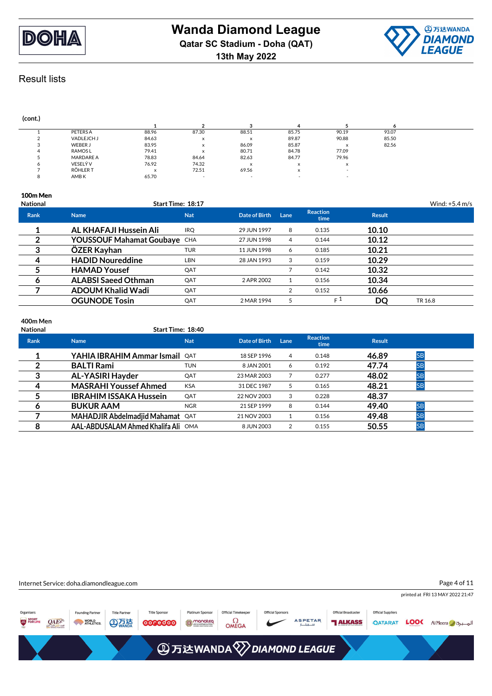



#### **(cont.) 1 2 3 4 5 6** 1 PETERS A 88.96 87.30 88.51 85.75 90.19 93.07 2 VADLEJCH J 84.63 <sup>x</sup> <sup>x</sup> 89.87 90.88 85.50 3 WEBER J 83.95 <sup>x</sup> 86.09 85.87 <sup>x</sup> 82.56 4 RAMOS L 79.41 <sup>x</sup> 80.71 84.78 77.09 5 MARDARE A 78.83 84.64 82.63 84.77 79.96 6 VESELÝ V 76.92 74.32 <sup>x</sup> <sup>x</sup> <sup>x</sup> 7 RÖHLERT x 72.51 69.56 x -8 AMB K 65.70 - - - -

## **100m Men**

| <b>National</b> | Start Time: 18:17            |            |               |      |                         |               | Wind: $+5.4$ m/s |
|-----------------|------------------------------|------------|---------------|------|-------------------------|---------------|------------------|
| <b>Rank</b>     | <b>Name</b>                  | <b>Nat</b> | Date of Birth | Lane | <b>Reaction</b><br>time | <b>Result</b> |                  |
|                 | AL KHAFAJI Hussein Ali       | IRQ        | 29 JUN 1997   | 8    | 0.135                   | 10.10         |                  |
|                 | YOUSSOUF Mahamat Goubaye CHA |            | 27 JUN 1998   | 4    | 0.144                   | 10.12         |                  |
| 3               | ÖZER Kayhan                  | TUR        | 11 JUN 1998   | 6    | 0.185                   | 10.21         |                  |
| 4               | <b>HADID Noureddine</b>      | LBN        | 28 JAN 1993   | 3    | 0.159                   | 10.29         |                  |
|                 | <b>HAMAD Yousef</b>          | QAT        |               |      | 0.142                   | 10.32         |                  |
| 6               | <b>ALABSI Saeed Othman</b>   | QAT        | 2 APR 2002    |      | 0.156                   | 10.34         |                  |
|                 | <b>ADOUM Khalid Wadi</b>     | QAT        |               | 2    | 0.152                   | 10.66         |                  |
|                 | <b>OGUNODE Tosin</b>         | QAT        | 2 MAR 1994    | 5    | F <sup>1</sup>          | DQ            | TR 16.8          |

## **400m Men**

| National | Start Time: 18:40                     |            |               |                |                         |               |           |  |
|----------|---------------------------------------|------------|---------------|----------------|-------------------------|---------------|-----------|--|
| Rank     | <b>Name</b>                           | <b>Nat</b> | Date of Birth | Lane           | <b>Reaction</b><br>time | <b>Result</b> |           |  |
|          | <b>YAHIA IBRAHIM Ammar Ismail QAT</b> |            | 18 SEP 1996   | $\overline{4}$ | 0.148                   | 46.89         | <b>SB</b> |  |
|          | <b>BALTI Rami</b>                     | <b>TUN</b> | 8 JAN 2001    | 6              | 0.192                   | 47.74         | <b>SB</b> |  |
| 3        | <b>AL-YASIRI Hayder</b>               | QAT        | 23 MAR 2003   |                | 0.277                   | 48.02         | <b>SB</b> |  |
| 4        | <b>MASRAHI Youssef Ahmed</b>          | <b>KSA</b> | 31 DEC 1987   | 5              | 0.165                   | 48.21         | <b>SB</b> |  |
|          | <b>IBRAHIM ISSAKA Hussein</b>         | QAT        | 22 NOV 2003   | 3              | 0.228                   | 48.37         |           |  |
| O        | <b>BUKUR AAM</b>                      | <b>NGR</b> | 21 SEP 1999   | 8              | 0.144                   | 49.40         | <b>SB</b> |  |
|          | MAHADJIR Abdelmadjid Mahamat QAT      |            | 21 NOV 2003   |                | 0.156                   | 49.48         | <b>SB</b> |  |
| 8        | AAL-ABDUSALAM Ahmed Khalifa Ali OMA   |            | 8 JUN 2003    | 2              | 0.155                   | 50.55         | <b>SB</b> |  |

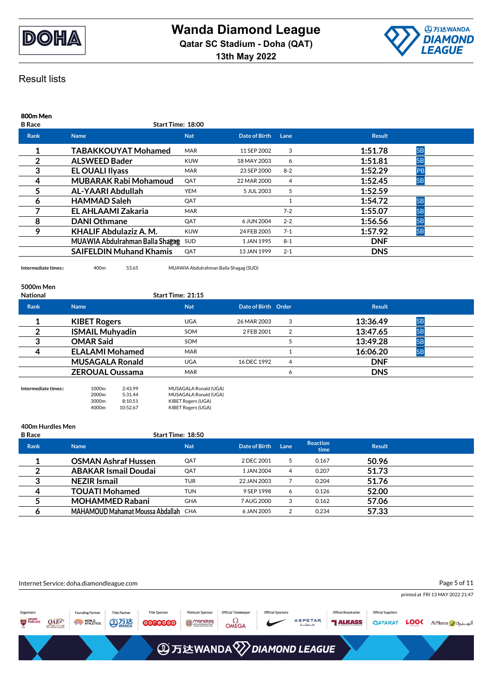



| 800m Men<br><b>B</b> Race | Start Time: 18:00               |            |               |         |               |           |
|---------------------------|---------------------------------|------------|---------------|---------|---------------|-----------|
| <b>Rank</b>               | <b>Name</b>                     | <b>Nat</b> | Date of Birth | Lane    | <b>Result</b> |           |
| 1                         | <b>TABAKKOUYAT Mohamed</b>      | <b>MAR</b> | 11 SEP 2002   | 3       | 1:51.78       | <b>SB</b> |
| 2                         | <b>ALSWEED Bader</b>            | <b>KUW</b> | 18 MAY 2003   | 6       | 1:51.81       | <b>SB</b> |
| 3                         | <b>EL OUALI Ilyass</b>          | <b>MAR</b> | 23 SEP 2000   | $8-2$   | 1:52.29       | PB        |
| 4                         | <b>MUBARAK Rabi Mohamoud</b>    | QAT        | 22 MAR 2000   | 4       | 1:52.45       | <b>SB</b> |
| 5                         | AL-YAARI Abdullah               | YEM        | 5 JUL 2003    | 5.      | 1:52.59       |           |
| 6                         | <b>HAMMAD Saleh</b>             | QAT        |               |         | 1:54.72       | <b>SB</b> |
|                           | <b>EL AHLAAMI Zakaria</b>       | <b>MAR</b> |               | $7 - 2$ | 1:55.07       | <b>SB</b> |
| 8                         | <b>DANI Othmane</b>             | QAT        | 6 JUN 2004    | $2 - 2$ | 1:56.56       | <b>SB</b> |
| 9                         | KHALIF Abdulaziz A.M.           | <b>KUW</b> | 24 FEB 2005   | $7-1$   | 1:57.92       | <b>SB</b> |
|                           | MUAWIA Abdulrahman Balla Shagag | <b>SUD</b> | 1 JAN 1995    | $8 - 1$ | <b>DNF</b>    |           |
|                           | <b>SAIFELDIN Muhand Khamis</b>  | QAT        | 13 JAN 1999   | $2 - 1$ | <b>DNS</b>    |           |

**Intermediate times::** 400m 53.65 MUAWIA Abdulrahman Balla Shagag (SUD)

#### **5000m Men**

| <b>National</b> |                        | Start Time: 21:15 |                     |   |            |           |  |
|-----------------|------------------------|-------------------|---------------------|---|------------|-----------|--|
| <b>Rank</b>     | <b>Name</b>            | <b>Nat</b>        | Date of Birth Order |   | Result     |           |  |
|                 | <b>KIBET Rogers</b>    | <b>UGA</b>        | 26 MAR 2003         | 3 | 13:36.49   | <b>SB</b> |  |
|                 | <b>ISMAIL Muhyadin</b> | SOM               | 2 FEB 2001          | 2 | 13:47.65   | <b>SB</b> |  |
|                 | <b>OMAR Said</b>       | SOM               |                     |   | 13:49.28   | <b>SB</b> |  |
| Δ               | <b>ELALAMI Mohamed</b> | <b>MAR</b>        |                     |   | 16:06.20   | <b>SB</b> |  |
|                 | <b>MUSAGALA Ronald</b> | <b>UGA</b>        | 16 DEC 1992         | 4 | <b>DNF</b> |           |  |
|                 | <b>ZEROUAL Oussama</b> | <b>MAR</b>        |                     |   | <b>DNS</b> |           |  |
|                 |                        |                   |                     |   |            |           |  |

| Intermediate times:: | 1000 <sub>m</sub> | 2:43.99  | MUSAGALA Ronald (UGA) |
|----------------------|-------------------|----------|-----------------------|
|                      | 2000 <sub>m</sub> | 5:31.44  | MUSAGALA Ronald (UGA) |
|                      | 3000m             | 8:10.51  | KIBET Rogers (UGA)    |
|                      | 4000m             | 10:52.67 | KIBET Rogers (UGA)    |

#### **400m Hurdles Men**

| <b>B</b> Race  |                                      | <b>Start Time: 18:50</b> |               |      |                         |               |  |
|----------------|--------------------------------------|--------------------------|---------------|------|-------------------------|---------------|--|
| <b>Rank</b>    | <b>Name</b>                          | <b>Nat</b>               | Date of Birth | Lane | <b>Reaction</b><br>time | <b>Result</b> |  |
|                | <b>OSMAN Ashraf Hussen</b>           | QAT                      | 2 DEC 2001    | 5    | 0.167                   | 50.96         |  |
|                | <b>ABAKAR Ismail Doudai</b>          | QAT                      | 1 JAN 2004    | 4    | 0.207                   | 51.73         |  |
| 3              | <b>NEZIR</b> Ismail                  | TUR                      | 22 JAN 2003   |      | 0.204                   | 51.76         |  |
| $\overline{4}$ | <b>TOUATI Mohamed</b>                | <b>TUN</b>               | 9 SEP 1998    | 6    | 0.126                   | 52.00         |  |
|                | <b>MOHAMMED Rabani</b>               | <b>GHA</b>               | 7 AUG 2000    | 3    | 0.162                   | 57.06         |  |
| 6              | MAHAMOUD Mahamat Moussa Abdallah CHA |                          | 6 JAN 2005    | 2    | 0.234                   | 57.33         |  |

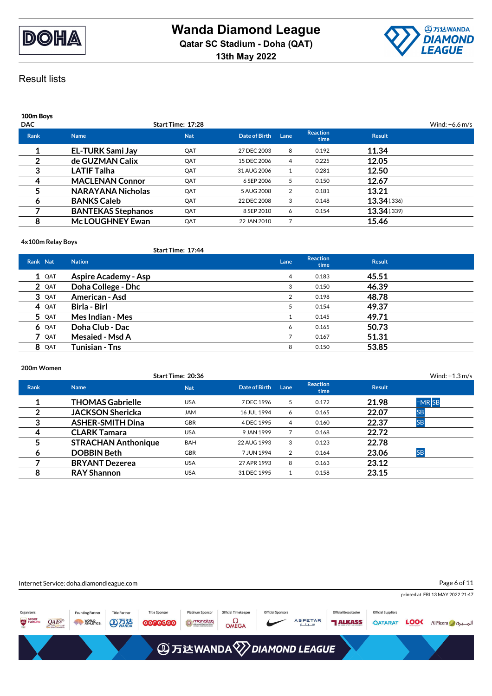



| 100m Boys<br><b>DAC</b> |                           | Start Time: 17:28 |               |      |                         |               | Wind: $+6.6$ m/s |
|-------------------------|---------------------------|-------------------|---------------|------|-------------------------|---------------|------------------|
| <b>Rank</b>             | <b>Name</b>               | <b>Nat</b>        | Date of Birth | Lane | <b>Reaction</b><br>time | <b>Result</b> |                  |
|                         | <b>EL-TURK Sami Jay</b>   | QAT               | 27 DEC 2003   | 8    | 0.192                   | 11.34         |                  |
|                         | de GUZMAN Calix           | QAT               | 15 DEC 2006   | 4    | 0.225                   | 12.05         |                  |
| 3                       | <b>LATIF Talha</b>        | QAT               | 31 AUG 2006   |      | 0.281                   | 12.50         |                  |
| 4                       | <b>MACLENAN Connor</b>    | QAT               | 6 SEP 2006    | 5    | 0.150                   | 12.67         |                  |
|                         | <b>NARAYANA Nicholas</b>  | QAT               | 5 AUG 2008    | 2    | 0.181                   | 13.21         |                  |
| o                       | <b>BANKS Caleb</b>        | QAT               | 22 DEC 2008   | 3    | 0.148                   | 13.34 (.336)  |                  |
|                         | <b>BANTEKAS Stephanos</b> | QAT               | 8 SEP 2010    | 6    | 0.154                   | 13.34 (.339)  |                  |
| 8                       | <b>McLOUGHNEY Ewan</b>    | QAT               | 22 JAN 2010   |      |                         | 15.46         |                  |

#### **4x100m Relay Boys**

#### **Start Time: 17:44**

| Rank Nat |         | <b>Nation</b>               | Lane | <b>Reaction</b><br>time | <b>Result</b> |  |
|----------|---------|-----------------------------|------|-------------------------|---------------|--|
|          | $1$ QAT | <b>Aspire Academy - Asp</b> | 4    | 0.183                   | 45.51         |  |
|          | 2 QAT   | Doha College - Dhc          | 3    | 0.150                   | 46.39         |  |
|          | 3 QAT   | <b>American - Asd</b>       | 2    | 0.198                   | 48.78         |  |
|          | 4 QAT   | Birla - Birl                |      | 0.154                   | 49.37         |  |
|          | 5 QAT   | Mes Indian - Mes            |      | 0.145                   | 49.71         |  |
|          | 6 QAT   | Doha Club - Dac             | 6    | 0.165                   | 50.73         |  |
|          | 7 QAT   | <b>Mesaied - Msd A</b>      |      | 0.167                   | 51.31         |  |
|          | 8 QAT   | Tunisian - Tns              | 8    | 0.150                   | 53.85         |  |

#### **200m Women**

|             |                            | Start Time: 20:36 |               |      |                         |               | Wind: $+1.3$ m/s |
|-------------|----------------------------|-------------------|---------------|------|-------------------------|---------------|------------------|
| <b>Rank</b> | <b>Name</b>                | <b>Nat</b>        | Date of Birth | Lane | <b>Reaction</b><br>time | <b>Result</b> |                  |
|             | <b>THOMAS Gabrielle</b>    | <b>USA</b>        | 7 DEC 1996    | 5    | 0.172                   | 21.98         | $=MR$ SB         |
|             | <b>JACKSON Shericka</b>    | <b>JAM</b>        | 16 JUL 1994   | 6    | 0.165                   | 22.07         | <b>SB</b>        |
| 3           | <b>ASHER-SMITH Dina</b>    | <b>GBR</b>        | 4 DEC 1995    | 4    | 0.160                   | 22.37         | <b>SB</b>        |
| 4           | <b>CLARK Tamara</b>        | <b>USA</b>        | 9 JAN 1999    |      | 0.168                   | 22.72         |                  |
|             | <b>STRACHAN Anthonique</b> | <b>BAH</b>        | 22 AUG 1993   | 3    | 0.123                   | 22.78         |                  |
| 6           | <b>DOBBIN Beth</b>         | <b>GBR</b>        | 7 JUN 1994    | 2    | 0.164                   | 23.06         | <b>SB</b>        |
|             | <b>BRYANT Dezerea</b>      | <b>USA</b>        | 27 APR 1993   | 8    | 0.163                   | 23.12         |                  |
| 8           | <b>RAY Shannon</b>         | <b>USA</b>        | 31 DEC 1995   |      | 0.158                   | 23.15         |                  |

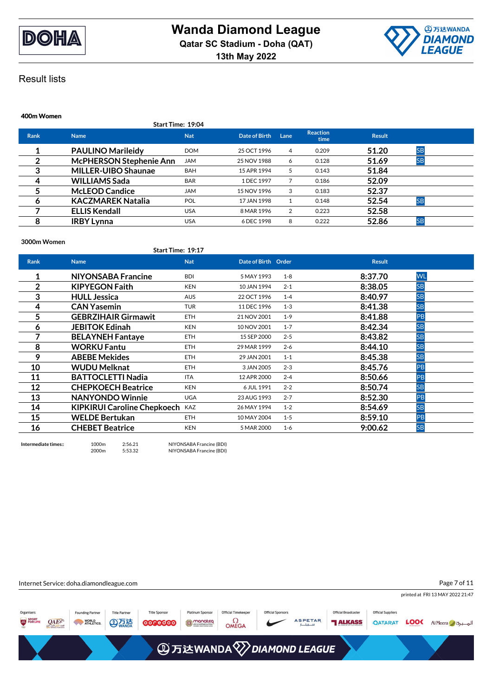



## **400m Women Start Time: 19:04 Rank Name Nat Date of Birth Lane Reaction time Result 1 PAULINO Marileidy** DOM 25 OCT 1996 <sup>4</sup> 0.209 **51.20** SB **2 McPHERSON Stephenie Ann** JAM 25 NOV 1988 <sup>6</sup> 0.128 **51.69** SB **3 MILLER-UIBO Shaunae** BAH 15 APR 1994 <sup>5</sup> 0.143 **51.84 4 WILLIAMS Sada** BAR 1 DEC 1997 <sup>7</sup> 0.186 **52.09 5 McLEOD Candice** JAM 15 NOV 1996 <sup>3</sup> 0.183 **52.37 6 KACZMAREK Natalia** POL 17 JAN 1998 <sup>1</sup> 0.148 **52.54** SB **7 ELLIS Kendall** USA 8 MAR 1996 <sup>2</sup> 0.223 **52.58 8 IRBY Lynna** USA 6 DEC 1998 <sup>8</sup> 0.222 **52.86** SB

#### **3000m Women**

|             | Start Time: 19:17                  |            |                     |         |               |           |
|-------------|------------------------------------|------------|---------------------|---------|---------------|-----------|
| <b>Rank</b> | <b>Name</b>                        | <b>Nat</b> | Date of Birth Order |         | <b>Result</b> |           |
| 1           | <b>NIYONSABA Francine</b>          | <b>BDI</b> | 5 MAY 1993          | $1 - 8$ | 8:37.70       | WL        |
| 2           | <b>KIPYEGON Faith</b>              | <b>KEN</b> | 10 JAN 1994         | $2 - 1$ | 8:38.05       | <b>SB</b> |
| 3           | <b>HULL Jessica</b>                | <b>AUS</b> | 22 OCT 1996         | $1 - 4$ | 8:40.97       | <b>SB</b> |
| 4           | <b>CAN Yasemin</b>                 | <b>TUR</b> | 11 DEC 1996         | $1 - 3$ | 8:41.38       | <b>SB</b> |
| 5           | <b>GEBRZIHAIR Girmawit</b>         | <b>ETH</b> | 21 NOV 2001         | $1 - 9$ | 8:41.88       | PB        |
| 6           | <b>JEBITOK Edinah</b>              | <b>KEN</b> | 10 NOV 2001         | $1 - 7$ | 8:42.34       | <b>SB</b> |
| 7           | <b>BELAYNEH Fantaye</b>            | <b>ETH</b> | 15 SEP 2000         | $2 - 5$ | 8:43.82       | <b>SB</b> |
| 8           | <b>WORKU Fantu</b>                 | <b>ETH</b> | 29 MAR 1999         | $2 - 6$ | 8:44.10       | <b>SB</b> |
| 9           | <b>ABEBE Mekides</b>               | <b>ETH</b> | 29 JAN 2001         | $1 - 1$ | 8:45.38       | <b>SB</b> |
| 10          | WUDU Melknat                       | <b>ETH</b> | 3 JAN 2005          | $2 - 3$ | 8:45.76       | PB        |
| 11          | <b>BATTOCLETTI Nadia</b>           | <b>ITA</b> | 12 APR 2000         | $2 - 4$ | 8:50.66       | PB        |
| 12          | <b>CHEPKOECH Beatrice</b>          | <b>KEN</b> | 6 JUL 1991          | $2 - 2$ | 8:50.74       | <b>SB</b> |
| 13          | <b>NANYONDO Winnie</b>             | <b>UGA</b> | 23 AUG 1993         | $2 - 7$ | 8:52.30       | PB        |
| 14          | <b>KIPKIRUI Caroline Chepkoech</b> | <b>KAZ</b> | 26 MAY 1994         | $1 - 2$ | 8:54.69       | <b>SB</b> |
| 15          | <b>WELDE Bertukan</b>              | <b>ETH</b> | 10 MAY 2004         | $1 - 5$ | 8:59.10       | PB        |
| 16          | <b>CHEBET Beatrice</b>             | <b>KEN</b> | 5 MAR 2000          | $1 - 6$ | 9:00.62       | SB        |

**Intermediate times::** 1000m 2:56.21 NIYONSABA Francine (BDI)<br>2000m 5:53.32 NIYONSABA Francine (BDI) NIYONSABA Francine (BDI)

Internet Service: doha.diamondleague.com Page 7 of 11printed at FRI 13 MAY 2022 21:47 Official Timeke **Official Suppliers Founding Partner** Title Partner **Title Spon Platinum Spon** Official Bro Organi: SPORT<br>FOR LIFE **ED** monoteq ASPETAR QAE<sup>2</sup> WORLD<br>ATHLETICS.  $\Omega$ OMEGA **TI ALKASS** OATARAT LOOK AlMeera **AT法** 0000000 **AD 万达WANDA 2 DIAMOND LEAGUE**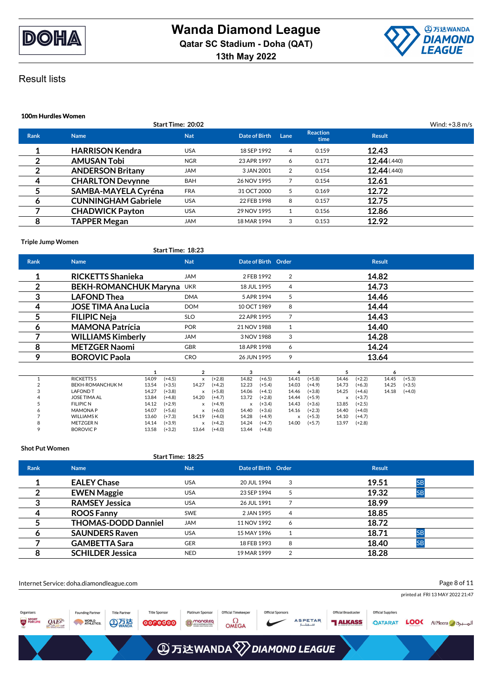



| <b>100m Hurdles Women</b> |                            |                   |               |      |                         |               |                  |  |  |  |
|---------------------------|----------------------------|-------------------|---------------|------|-------------------------|---------------|------------------|--|--|--|
|                           |                            | Start Time: 20:02 |               |      |                         |               | Wind: $+3.8$ m/s |  |  |  |
| <b>Rank</b>               | <b>Name</b>                | <b>Nat</b>        | Date of Birth | Lane | <b>Reaction</b><br>time | <b>Result</b> |                  |  |  |  |
|                           | <b>HARRISON Kendra</b>     | <b>USA</b>        | 18 SEP 1992   | 4    | 0.159                   | 12.43         |                  |  |  |  |
| 2                         | <b>AMUSAN Tobi</b>         | <b>NGR</b>        | 23 APR 1997   | 6    | 0.171                   | 12.44(440)    |                  |  |  |  |
| $\overline{2}$            | <b>ANDERSON Britany</b>    | <b>JAM</b>        | 3 JAN 2001    | 2    | 0.154                   | 12.44(440)    |                  |  |  |  |
| 4                         | <b>CHARLTON Devynne</b>    | <b>BAH</b>        | 26 NOV 1995   |      | 0.154                   | 12.61         |                  |  |  |  |
| 5                         | <b>SAMBA-MAYELA Cyréna</b> | <b>FRA</b>        | 31 OCT 2000   | 5    | 0.169                   | 12.72         |                  |  |  |  |
| 6                         | <b>CUNNINGHAM Gabriele</b> | <b>USA</b>        | 22 FEB 1998   | 8    | 0.157                   | 12.75         |                  |  |  |  |
|                           | <b>CHADWICK Payton</b>     | <b>USA</b>        | 29 NOV 1995   |      | 0.156                   | 12.86         |                  |  |  |  |
| 8                         | <b>TAPPER Megan</b>        | <b>JAM</b>        | 18 MAR 1994   | 3    | 0.153                   | 12.92         |                  |  |  |  |

#### **Triple Jump Women**

**Start Time: 18:23**

| Rank           | <b>Name</b>                  |       |          | <b>Nat</b>                |          |                           |             | Date of Birth Order |          |       |          | <b>Result</b> |          |  |
|----------------|------------------------------|-------|----------|---------------------------|----------|---------------------------|-------------|---------------------|----------|-------|----------|---------------|----------|--|
| 1              | <b>RICKETTS Shanieka</b>     |       |          | <b>JAM</b>                |          |                           | 2 FEB 1992  | 2                   |          |       |          | 14.82         |          |  |
| $\overline{2}$ | <b>BEKH-ROMANCHUK Maryna</b> |       |          | <b>UKR</b>                |          |                           | 18 JUL 1995 | 4                   |          |       |          | 14.73         |          |  |
| 3              | <b>LAFOND Thea</b>           |       |          | <b>DMA</b>                |          |                           | 5 APR 1994  | 5                   | 14.46    |       |          |               |          |  |
| 4              | <b>JOSE TIMA Ana Lucia</b>   |       |          | <b>DOM</b><br>10 OCT 1989 |          |                           | 8           | 14.44               |          |       |          |               |          |  |
| 5              | <b>FILIPIC Neja</b>          |       |          | <b>SLO</b>                |          | 22 APR 1995               |             | 7                   |          |       |          | 14.43         |          |  |
| 6              | <b>MAMONA Patrícia</b>       |       |          | <b>POR</b>                |          | 21 NOV 1988               |             | 1                   |          |       |          | 14.40         |          |  |
| 7              | <b>WILLIAMS Kimberly</b>     |       |          | <b>JAM</b><br>3 NOV 1988  |          |                           | 3           | 14.28               |          |       |          |               |          |  |
| 8              | <b>METZGER Naomi</b>         |       |          | GBR                       |          | 18 APR 1998               |             | 6                   |          |       |          | 14.24         |          |  |
| 9              | <b>BOROVIC Paola</b>         |       |          | <b>CRO</b><br>26 JUN 1995 |          | 9                         |             |                     |          | 13.64 |          |               |          |  |
|                |                              |       |          | 2                         |          | 3                         |             | 4                   |          | 5     |          | 6             |          |  |
|                | <b>RICKETTS S</b>            | 14.09 | $(+4.5)$ | x                         | $(+2.8)$ | 14.82                     | $(+6.5)$    | 14.41               | $(+5.8)$ | 14.46 | $(+2.2)$ | 14.45         | $(+5.3)$ |  |
|                | <b>BEKH-ROMANCHUK M</b>      | 13.54 | $(+3.5)$ | 14.27                     | $(+4.2)$ | 12.23                     | $(+5.4)$    | 14.03               | $(+4.9)$ | 14.73 | $(+6.3)$ | 14.25         | $(+3.5)$ |  |
|                | <b>LAFOND T</b>              | 14.27 | $(+3.8)$ | x                         | $(+5.8)$ | 14.06                     | $(+4.1)$    | 14.46               | $(+3.8)$ | 14.25 | $(+4.6)$ | 14.18         | $(+4.0)$ |  |
|                | JOSE TIMA AL                 | 13.84 | $(+4.8)$ | 14.20                     | $(+4.7)$ | 13.72                     | $(+2.8)$    | 14.44               | $(+5.9)$ | x     | $(+3.7)$ |               |          |  |
|                | <b>FILIPIC N</b>             | 14.12 | $(+2.9)$ | x                         | $(+4.9)$ | $\boldsymbol{\mathsf{x}}$ | $(+3.4)$    | 14.43               | $(+3.6)$ | 13.85 | $(+2.5)$ |               |          |  |
|                | <b>MAMONAP</b>               | 14.07 | $(+5.6)$ | X                         | $(+6.0)$ | 14.40                     | $(+3.6)$    | 14.16               | $(+2.3)$ | 14.40 | $(+4.0)$ |               |          |  |
|                | <b>WILLIAMSK</b>             | 13.60 | $(+7.3)$ | 14.19                     | $(+4.0)$ | 14.28                     | $(+4.9)$    | x                   | $(+5.3)$ | 14.10 | $(+4.7)$ |               |          |  |
|                | <b>METZGER N</b>             | 14.14 | $(+3.9)$ | x                         | $(+4.2)$ | 14.24                     | $(+4.7)$    | 14.00               | $(+5.7)$ | 13.97 | $(+2.8)$ |               |          |  |
| 9              | <b>BOROVIC P</b>             | 13.58 | $(+3.2)$ | 13.64                     | $(+4.0)$ | 13.44                     | $(+4.8)$    |                     |          |       |          |               |          |  |

#### **Shot Put Women**

|             |                            | <b>Start Time: 18:25</b> |                     |                |                    |
|-------------|----------------------------|--------------------------|---------------------|----------------|--------------------|
| <b>Rank</b> | <b>Name</b>                | <b>Nat</b>               | Date of Birth Order |                | <b>Result</b>      |
|             | <b>EALEY Chase</b>         | <b>USA</b>               | 20 JUL 1994         | 3              | <b>SB</b><br>19.51 |
|             | <b>EWEN Maggie</b>         | <b>USA</b>               | 23 SEP 1994         | 5              | 19.32<br><b>SB</b> |
| 3           | <b>RAMSEY Jessica</b>      | <b>USA</b>               | 26 JUL 1991         |                | 18.99              |
| 4           | <b>ROOS Fanny</b>          | <b>SWE</b>               | 2 JAN 1995          | $\overline{4}$ | 18.85              |
|             | <b>THOMAS-DODD Danniel</b> | <b>JAM</b>               | 11 NOV 1992         | 6              | 18.72              |
| O           | <b>SAUNDERS Raven</b>      | <b>USA</b>               | 15 MAY 1996         |                | <b>SB</b><br>18.71 |
|             | <b>GAMBETTA Sara</b>       | <b>GER</b>               | 18 FEB 1993         | 8              | <b>SB</b><br>18.40 |
| 8           | <b>SCHILDER Jessica</b>    | <b>NED</b>               | 19 MAR 1999         | 2              | 18.28              |

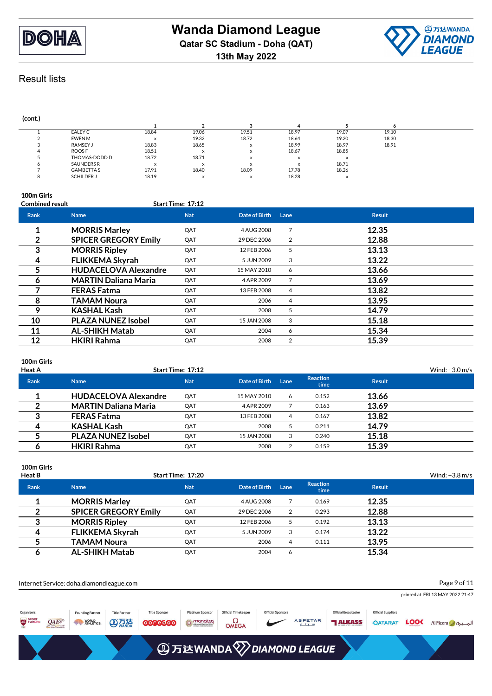



#### **(cont.) 1 2 3 4 5 6** 1 EALEY C 18.84 19.06 19.51 18.97 19.07 19.10 2 EWEN M <sup>x</sup> 19.32 18.72 18.64 19.20 18.30 3 RAMSEY J 18.83 18.65 x 18.99 18.97 18.91 4 ROOS F 18.51 x x 18.67 18.85 5 THOMAS-DODD D 18.72 18.71 <sup>x</sup> <sup>x</sup> <sup>x</sup> 6 SAUNDERS R <sup>x</sup> <sup>x</sup> <sup>x</sup> <sup>x</sup> 18.71 7 GAMBETTA S 17.91 18.40 18.09 17.78 18.26 8 SCHILDER J 18.19 <sup>x</sup> <sup>x</sup> 18.28 <sup>x</sup>

## **100m Girls**

| <b>Combined result</b> |                             | Start Time: 17:12 |               |                |               |
|------------------------|-----------------------------|-------------------|---------------|----------------|---------------|
| <b>Rank</b>            | <b>Name</b>                 | <b>Nat</b>        | Date of Birth | Lane           | <b>Result</b> |
|                        | <b>MORRIS Marley</b>        | QAT               | 4 AUG 2008    |                | 12.35         |
| 2                      | <b>SPICER GREGORY Emily</b> | QAT               | 29 DEC 2006   | 2              | 12.88         |
| 3                      | <b>MORRIS Ripley</b>        | QAT               | 12 FEB 2006   | 5              | 13.13         |
| 4                      | <b>FLIKKEMA Skyrah</b>      | QAT               | 5 JUN 2009    | 3              | 13.22         |
| 5                      | <b>HUDACELOVA Alexandre</b> | QAT               | 15 MAY 2010   | 6              | 13.66         |
| 6                      | <b>MARTIN Daliana Maria</b> | QAT               | 4 APR 2009    | 7              | 13.69         |
|                        | <b>FERAS Fatma</b>          | QAT               | 13 FEB 2008   | $\overline{4}$ | 13.82         |
| 8                      | <b>TAMAM Noura</b>          | QAT               | 2006          | 4              | 13.95         |
| 9                      | <b>KASHAL Kash</b>          | QAT               | 2008          | 5              | 14.79         |
| 10                     | <b>PLAZA NUNEZ Isobel</b>   | QAT               | 15 JAN 2008   | 3              | 15.18         |
| 11                     | <b>AL-SHIKH Matab</b>       | QAT               | 2004          | 6              | 15.34         |
| 12                     | <b>HKIRI Rahma</b>          | QAT               | 2008          | 2              | 15.39         |

## **100m Girls**

| <b>Heat A</b> |                             | Start Time: 17:12 |               |      |                         |               | Wind: $+3.0$ m/s |
|---------------|-----------------------------|-------------------|---------------|------|-------------------------|---------------|------------------|
| <b>Rank</b>   | <b>Name</b>                 | <b>Nat</b>        | Date of Birth | Lane | <b>Reaction</b><br>time | <b>Result</b> |                  |
|               | <b>HUDACELOVA Alexandre</b> | QAT               | 15 MAY 2010   | 6    | 0.152                   | 13.66         |                  |
| າ             | <b>MARTIN Daliana Maria</b> | QAT               | 4 APR 2009    |      | 0.163                   | 13.69         |                  |
| 3             | <b>FERAS Fatma</b>          | QAT               | 13 FEB 2008   | 4    | 0.167                   | 13.82         |                  |
|               | <b>KASHAL Kash</b>          | QAT               | 2008          | -5   | 0.211                   | 14.79         |                  |
|               | <b>PLAZA NUNEZ Isobel</b>   | QAT               | 15 JAN 2008   | 3    | 0.240                   | 15.18         |                  |
| О             | <b>HKIRI Rahma</b>          | QAT               | 2008          |      | 0.159                   | 15.39         |                  |

| 100m Girls<br><b>Heat B</b> |                             | <b>Start Time: 17:20</b> |               |      |                         |               | Wind: $+3.8$ m/s |
|-----------------------------|-----------------------------|--------------------------|---------------|------|-------------------------|---------------|------------------|
| <b>Rank</b>                 | <b>Name</b>                 | <b>Nat</b>               | Date of Birth | Lane | <b>Reaction</b><br>time | <b>Result</b> |                  |
|                             | <b>MORRIS Marley</b>        | QAT                      | 4 AUG 2008    |      | 0.169                   | 12.35         |                  |
| 2                           | <b>SPICER GREGORY Emily</b> | QAT                      | 29 DEC 2006   | 2    | 0.293                   | 12.88         |                  |
| 3                           | <b>MORRIS Ripley</b>        | QAT                      | 12 FEB 2006   | 5    | 0.192                   | 13.13         |                  |
| Δ                           | <b>FLIKKEMA Skyrah</b>      | QAT                      | 5 JUN 2009    | 3    | 0.174                   | 13.22         |                  |
|                             | <b>TAMAM Noura</b>          | QAT                      | 2006          | 4    | 0.111                   | 13.95         |                  |
| O                           | <b>AL-SHIKH Matab</b>       | QAT                      | 2004          | 6    |                         | 15.34         |                  |

|                                 | Page 9 of 11<br>Internet Service: doha.diamondleague.com |                                                |                                    |                                 |                                |                                              |                          |                                 |                                               |                                             |             |                                  |
|---------------------------------|----------------------------------------------------------|------------------------------------------------|------------------------------------|---------------------------------|--------------------------------|----------------------------------------------|--------------------------|---------------------------------|-----------------------------------------------|---------------------------------------------|-------------|----------------------------------|
|                                 |                                                          |                                                |                                    |                                 |                                |                                              |                          |                                 |                                               |                                             |             | printed at FRI 13 MAY 2022 21:47 |
| Organisers<br>SPORT<br>FOR LIFE | $QAE^k$                                                  | <b>Founding Partner</b><br>WORLD<br>ATHLETICS. | <b>Title Partner</b><br><b>ATT</b> | <b>Title Sponsor</b><br>0000000 | Platinum Sponsor<br>to monoteq | <b>Official Timekeeper</b><br>$\Omega$ OMEGA | <b>Official Sponsors</b> | <b>ASPETAR</b><br>ســـببتــــار | <b>Official Broadcaster</b><br><b>TALKASS</b> | <b>Official Suppliers</b><br><b>QATARAT</b> | <b>LOOC</b> | Al Meera d                       |
|                                 |                                                          |                                                |                                    |                                 |                                | <b>④万达WANDA</b> <sup>2</sup> DIAMOND LEAGUE  |                          |                                 |                                               |                                             |             |                                  |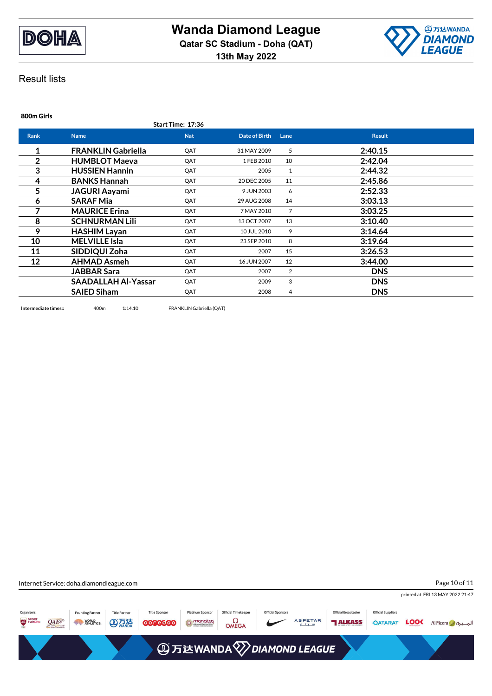



| 800m Girls     |                            |                   |                      |                |               |
|----------------|----------------------------|-------------------|----------------------|----------------|---------------|
|                |                            | Start Time: 17:36 |                      |                |               |
| Rank           | <b>Name</b>                | <b>Nat</b>        | <b>Date of Birth</b> | Lane           | <b>Result</b> |
|                | <b>FRANKLIN Gabriella</b>  | QAT               | 31 MAY 2009          | 5              | 2:40.15       |
| $\overline{2}$ | <b>HUMBLOT Maeva</b>       | QAT               | 1 FEB 2010           | 10             | 2:42.04       |
| 3              | <b>HUSSIEN Hannin</b>      | QAT               | 2005                 | 1              | 2:44.32       |
| 4              | <b>BANKS Hannah</b>        | QAT               | 20 DEC 2005          | 11             | 2:45.86       |
| 5              | <b>JAGURI Aayami</b>       | QAT               | 9 JUN 2003           | 6              | 2:52.33       |
| 6              | <b>SARAF Mia</b>           | QAT               | 29 AUG 2008          | 14             | 3:03.13       |
| 7              | <b>MAURICE Erina</b>       | QAT               | 7 MAY 2010           | $\overline{7}$ | 3:03.25       |
| 8              | <b>SCHNURMAN Lili</b>      | QAT               | 13 OCT 2007          | 13             | 3:10.40       |
| 9              | <b>HASHIM Layan</b>        | QAT               | 10 JUL 2010          | 9              | 3:14.64       |
| 10             | <b>MELVILLE Isla</b>       | QAT               | 23 SEP 2010          | 8              | 3:19.64       |
| 11             | SIDDIQUI Zoha              | QAT               | 2007                 | 15             | 3:26.53       |
| 12             | <b>AHMAD Asmeh</b>         | QAT               | 16 JUN 2007          | 12             | 3:44.00       |
|                | <b>JABBAR Sara</b>         | QAT               | 2007                 | $\overline{2}$ | <b>DNS</b>    |
|                | <b>SAADALLAH Al-Yassar</b> | QAT               | 2009                 | 3              | <b>DNS</b>    |
|                | <b>SAIED Siham</b>         | QAT               | 2008                 | 4              | <b>DNS</b>    |
|                |                            |                   |                      |                |               |

**Intermediate times::** 400m 1:14.10 FRANKLIN Gabriella (QAT)

Internet Service: doha.diamondleague.com Page 10 of 11printed at FRI 13 MAY 2022 21:47 Title Partner Title Sponso Official Timekeepe Official Broadcaster **Official Suppliers** Organiser: **Founding Partner** Platinum Sponso SPORT<br>FOR LIFE  $\Omega$ OMEGA ASPETAR QAE<sup>2</sup> WORLD<br>ATHLETICS. **ATA** 0000000 the monoked **TI ALKASS** OATARAT LOOK AlMeera **③万达WANDA**<sup>√</sup>DIAMOND LEAGUE